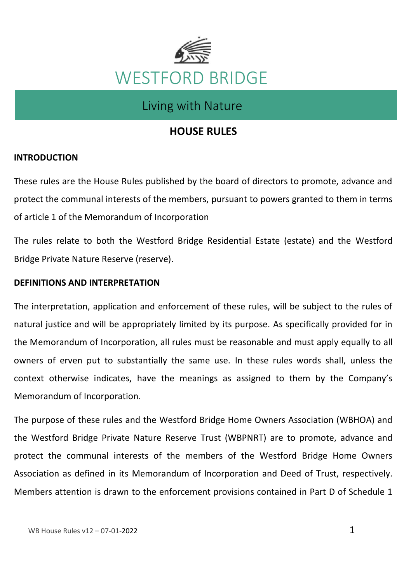

# Living with Nature

# **HOUSE RULES**

# **INTRODUCTION**

These rules are the House Rules published by the board of directors to promote, advance and protect the communal interests of the members, pursuant to powers granted to them in terms of article 1 of the Memorandum of Incorporation

The rules relate to both the Westford Bridge Residential Estate (estate) and the Westford Bridge Private Nature Reserve (reserve).

# **DEFINITIONS AND INTERPRETATION**

The interpretation, application and enforcement of these rules, will be subject to the rules of natural justice and will be appropriately limited by its purpose. As specifically provided for in the Memorandum of Incorporation, all rules must be reasonable and must apply equally to all owners of erven put to substantially the same use. In these rules words shall, unless the context otherwise indicates, have the meanings as assigned to them by the Company's Memorandum of Incorporation.

The purpose of these rules and the Westford Bridge Home Owners Association (WBHOA) and the Westford Bridge Private Nature Reserve Trust (WBPNRT) are to promote, advance and protect the communal interests of the members of the Westford Bridge Home Owners Association as defined in its Memorandum of Incorporation and Deed of Trust, respectively. Members attention is drawn to the enforcement provisions contained in Part D of Schedule 1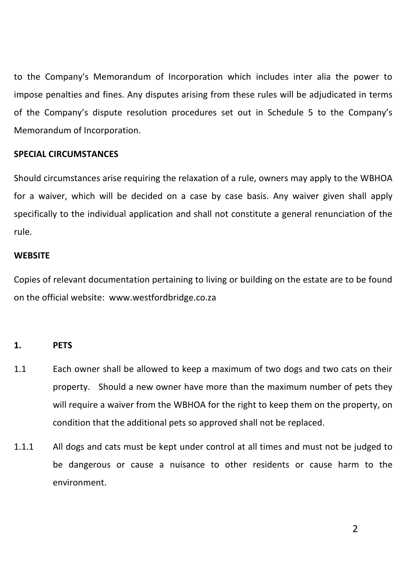to the Company's Memorandum of Incorporation which includes inter alia the power to impose penalties and fines. Any disputes arising from these rules will be adjudicated in terms of the Company's dispute resolution procedures set out in Schedule 5 to the Company's Memorandum of Incorporation.

#### **SPECIAL CIRCUMSTANCES**

Should circumstances arise requiring the relaxation of a rule, owners may apply to the WBHOA for a waiver, which will be decided on a case by case basis. Any waiver given shall apply specifically to the individual application and shall not constitute a general renunciation of the rule.

# **WEBSITE**

Copies of relevant documentation pertaining to living or building on the estate are to be found on the official website: www.westfordbridge.co.za

# **1. PETS**

- 1.1 Each owner shall be allowed to keep a maximum of two dogs and two cats on their property. Should a new owner have more than the maximum number of pets they will require a waiver from the WBHOA for the right to keep them on the property, on condition that the additional pets so approved shall not be replaced.
- 1.1.1 All dogs and cats must be kept under control at all times and must not be judged to be dangerous or cause a nuisance to other residents or cause harm to the environment.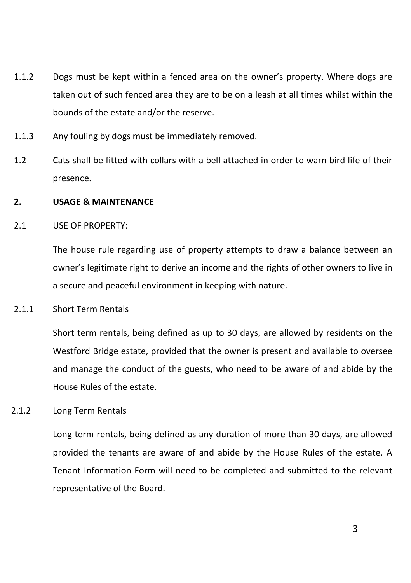- 1.1.2 Dogs must be kept within a fenced area on the owner's property. Where dogs are taken out of such fenced area they are to be on a leash at all times whilst within the bounds of the estate and/or the reserve.
- 1.1.3 Any fouling by dogs must be immediately removed.
- 1.2 Cats shall be fitted with collars with a bell attached in order to warn bird life of their presence.

# **2. USAGE & MAINTENANCE**

2.1 USE OF PROPERTY:

The house rule regarding use of property attempts to draw a balance between an owner's legitimate right to derive an income and the rights of other owners to live in a secure and peaceful environment in keeping with nature.

2.1.1 Short Term Rentals

Short term rentals, being defined as up to 30 days, are allowed by residents on the Westford Bridge estate, provided that the owner is present and available to oversee and manage the conduct of the guests, who need to be aware of and abide by the House Rules of the estate.

2.1.2 Long Term Rentals

Long term rentals, being defined as any duration of more than 30 days, are allowed provided the tenants are aware of and abide by the House Rules of the estate. A Tenant Information Form will need to be completed and submitted to the relevant representative of the Board.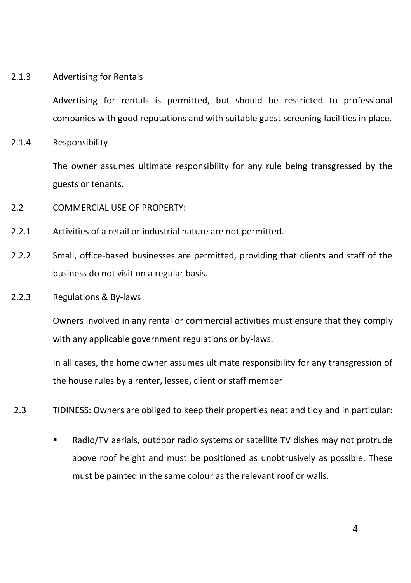#### 2.1.3 Advertising for Rentals

Advertising for rentals is permitted, but should be restricted to professional companies with good reputations and with suitable guest screening facilities in place.

2.1.4 Responsibility

The owner assumes ultimate responsibility for any rule being transgressed by the guests or tenants.

- 2.2 COMMERCIAL USE OF PROPERTY:
- 2.2.1 Activities of a retail or industrial nature are not permitted.
- 2.2.2 Small, office-based businesses are permitted, providing that clients and staff of the business do not visit on a regular basis.
- 2.2.3 Regulations & By-laws

Owners involved in any rental or commercial activities must ensure that they comply with any applicable government regulations or by-laws.

In all cases, the home owner assumes ultimate responsibility for any transgression of the house rules by a renter, lessee, client or staff member

- 2.3 TIDINESS: Owners are obliged to keep their properties neat and tidy and in particular:
	- Radio/TV aerials, outdoor radio systems or satellite TV dishes may not protrude above roof height and must be positioned as unobtrusively as possible. These must be painted in the same colour as the relevant roof or walls.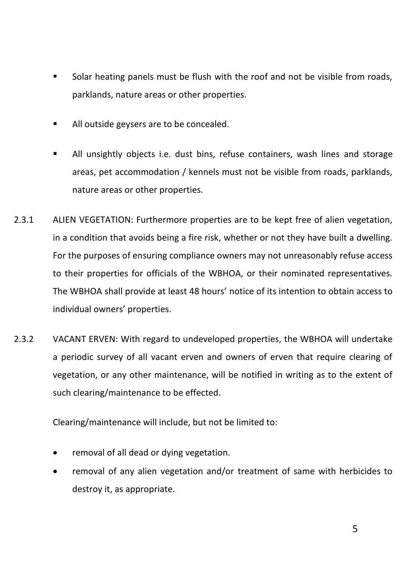- Solar heating panels must be flush with the roof and not be visible from roads, parklands, nature areas or other properties.
- All outside geysers are to be concealed.
- All unsightly objects i.e. dust bins, refuse containers, wash lines and storage areas, pet accommodation / kennels must not be visible from roads, parklands, nature areas or other properties.
- 2.3.1 ALIEN VEGETATION: Furthermore properties are to be kept free of alien vegetation, in a condition that avoids being a fire risk, whether or not they have built a dwelling. For the purposes of ensuring compliance owners may not unreasonably refuse access to their properties for officials of the WBHOA, or their nominated representatives. The WBHOA shall provide at least 48 hours' notice of its intention to obtain access to individual owners' properties.
- 2.3.2 VACANT ERVEN: With regard to undeveloped properties, the WBHOA will undertake a periodic survey of all vacant erven and owners of erven that require clearing of vegetation, or any other maintenance, will be notified in writing as to the extent of such clearing/maintenance to be effected.

Clearing/maintenance will include, but not be limited to:

- removal of all dead or dying vegetation.
- removal of any alien vegetation and/or treatment of same with herbicides to destroy it, as appropriate.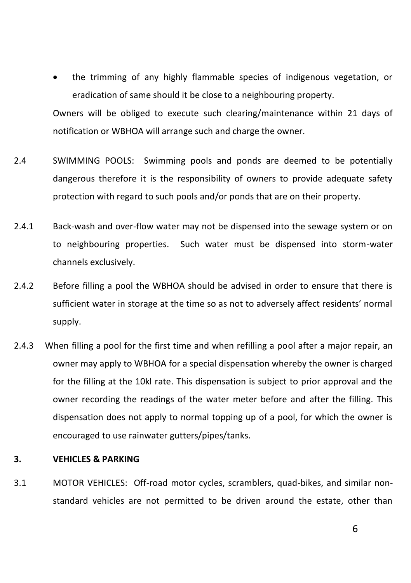the trimming of any highly flammable species of indigenous vegetation, or eradication of same should it be close to a neighbouring property.

Owners will be obliged to execute such clearing/maintenance within 21 days of notification or WBHOA will arrange such and charge the owner.

- 2.4 SWIMMING POOLS: Swimming pools and ponds are deemed to be potentially dangerous therefore it is the responsibility of owners to provide adequate safety protection with regard to such pools and/or ponds that are on their property.
- 2.4.1 Back-wash and over-flow water may not be dispensed into the sewage system or on to neighbouring properties. Such water must be dispensed into storm-water channels exclusively.
- 2.4.2 Before filling a pool the WBHOA should be advised in order to ensure that there is sufficient water in storage at the time so as not to adversely affect residents' normal supply.
- 2.4.3 When filling a pool for the first time and when refilling a pool after a major repair, an owner may apply to WBHOA for a special dispensation whereby the owner is charged for the filling at the 10kl rate. This dispensation is subject to prior approval and the owner recording the readings of the water meter before and after the filling. This dispensation does not apply to normal topping up of a pool, for which the owner is encouraged to use rainwater gutters/pipes/tanks.

# **3. VEHICLES & PARKING**

3.1 MOTOR VEHICLES: Off-road motor cycles, scramblers, quad-bikes, and similar nonstandard vehicles are not permitted to be driven around the estate, other than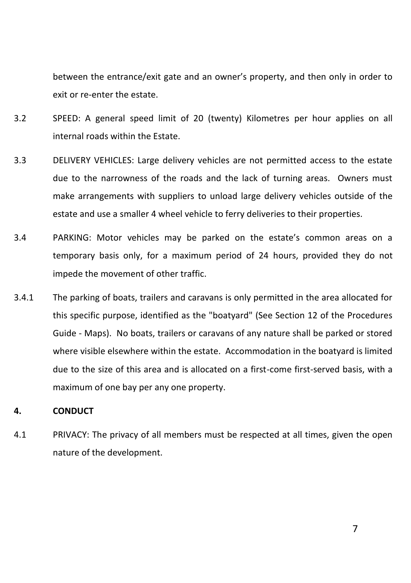between the entrance/exit gate and an owner's property, and then only in order to exit or re-enter the estate.

- 3.2 SPEED: A general speed limit of 20 (twenty) Kilometres per hour applies on all internal roads within the Estate.
- 3.3 DELIVERY VEHICLES: Large delivery vehicles are not permitted access to the estate due to the narrowness of the roads and the lack of turning areas. Owners must make arrangements with suppliers to unload large delivery vehicles outside of the estate and use a smaller 4 wheel vehicle to ferry deliveries to their properties.
- 3.4 PARKING: Motor vehicles may be parked on the estate's common areas on a temporary basis only, for a maximum period of 24 hours, provided they do not impede the movement of other traffic.
- 3.4.1 The parking of boats, trailers and caravans is only permitted in the area allocated for this specific purpose, identified as the "boatyard" (See Section 12 of the Procedures Guide - Maps). No boats, trailers or caravans of any nature shall be parked or stored where visible elsewhere within the estate. Accommodation in the boatyard is limited due to the size of this area and is allocated on a first-come first-served basis, with a maximum of one bay per any one property.

# **4. CONDUCT**

4.1 PRIVACY: The privacy of all members must be respected at all times, given the open nature of the development.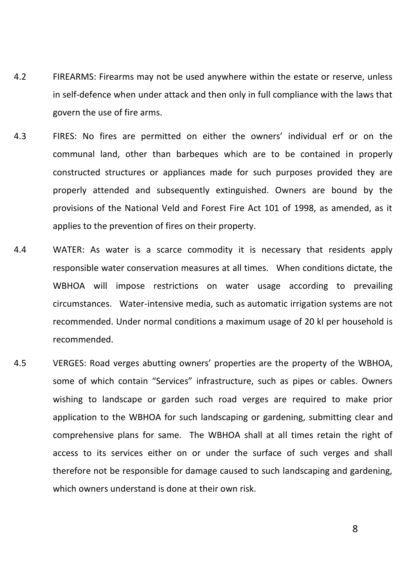- 4.2 FIREARMS: Firearms may not be used anywhere within the estate or reserve, unless in self-defence when under attack and then only in full compliance with the laws that govern the use of fire arms.
- 4.3 FIRES: No fires are permitted on either the owners' individual erf or on the communal land, other than barbeques which are to be contained in properly constructed structures or appliances made for such purposes provided they are properly attended and subsequently extinguished. Owners are bound by the provisions of the National Veld and Forest Fire Act 101 of 1998, as amended, as it applies to the prevention of fires on their property.
- 4.4 WATER: As water is a scarce commodity it is necessary that residents apply responsible water conservation measures at all times. When conditions dictate, the WBHOA will impose restrictions on water usage according to prevailing circumstances. Water-intensive media, such as automatic irrigation systems are not recommended. Under normal conditions a maximum usage of 20 kl per household is recommended.
- 4.5 VERGES: Road verges abutting owners' properties are the property of the WBHOA, some of which contain "Services" infrastructure, such as pipes or cables. Owners wishing to landscape or garden such road verges are required to make prior application to the WBHOA for such landscaping or gardening, submitting clear and comprehensive plans for same. The WBHOA shall at all times retain the right of access to its services either on or under the surface of such verges and shall therefore not be responsible for damage caused to such landscaping and gardening, which owners understand is done at their own risk.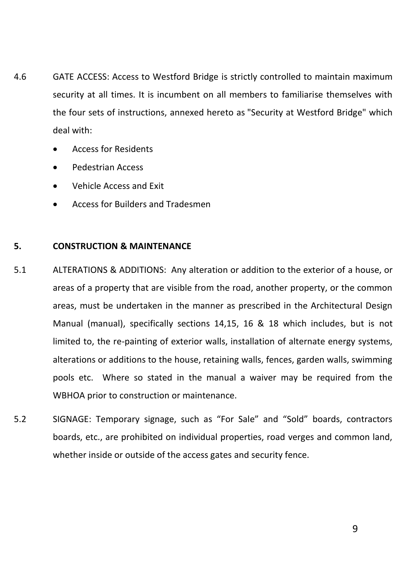- 4.6 GATE ACCESS: Access to Westford Bridge is strictly controlled to maintain maximum security at all times. It is incumbent on all members to familiarise themselves with the four sets of instructions, annexed hereto as "Security at Westford Bridge" which deal with:
	- Access for Residents
	- Pedestrian Access
	- Vehicle Access and Exit
	- Access for Builders and Tradesmen

# **5. CONSTRUCTION & MAINTENANCE**

- 5.1 ALTERATIONS & ADDITIONS: Any alteration or addition to the exterior of a house, or areas of a property that are visible from the road, another property, or the common areas, must be undertaken in the manner as prescribed in the Architectural Design Manual (manual), specifically sections 14,15, 16 & 18 which includes, but is not limited to, the re-painting of exterior walls, installation of alternate energy systems, alterations or additions to the house, retaining walls, fences, garden walls, swimming pools etc. Where so stated in the manual a waiver may be required from the WBHOA prior to construction or maintenance.
- 5.2 SIGNAGE: Temporary signage, such as "For Sale" and "Sold" boards, contractors boards, etc., are prohibited on individual properties, road verges and common land, whether inside or outside of the access gates and security fence.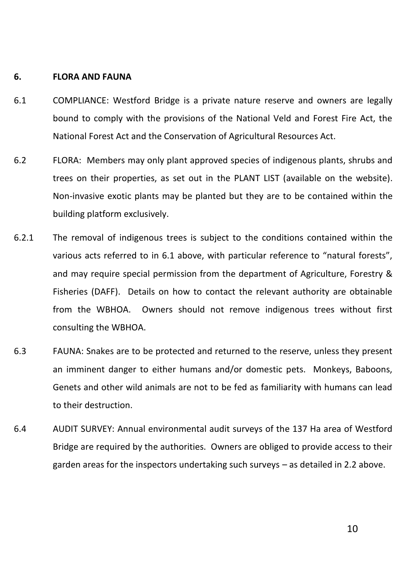#### **6. FLORA AND FAUNA**

- 6.1 COMPLIANCE: Westford Bridge is a private nature reserve and owners are legally bound to comply with the provisions of the National Veld and Forest Fire Act, the National Forest Act and the Conservation of Agricultural Resources Act.
- 6.2 FLORA: Members may only plant approved species of indigenous plants, shrubs and trees on their properties, as set out in the PLANT LIST (available on the website). Non-invasive exotic plants may be planted but they are to be contained within the building platform exclusively.
- 6.2.1 The removal of indigenous trees is subject to the conditions contained within the various acts referred to in 6.1 above, with particular reference to "natural forests", and may require special permission from the department of Agriculture, Forestry & Fisheries (DAFF). Details on how to contact the relevant authority are obtainable from the WBHOA. Owners should not remove indigenous trees without first consulting the WBHOA.
- 6.3 FAUNA: Snakes are to be protected and returned to the reserve, unless they present an imminent danger to either humans and/or domestic pets. Monkeys, Baboons, Genets and other wild animals are not to be fed as familiarity with humans can lead to their destruction.
- 6.4 AUDIT SURVEY: Annual environmental audit surveys of the 137 Ha area of Westford Bridge are required by the authorities. Owners are obliged to provide access to their garden areas for the inspectors undertaking such surveys – as detailed in 2.2 above.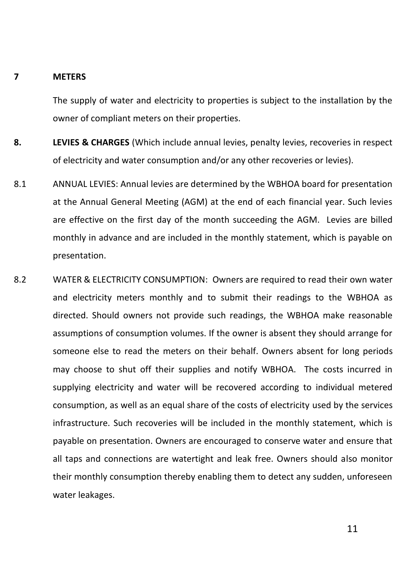#### **7 METERS**

The supply of water and electricity to properties is subject to the installation by the owner of compliant meters on their properties.

- **8. LEVIES & CHARGES** (Which include annual levies, penalty levies, recoveries in respect of electricity and water consumption and/or any other recoveries or levies).
- 8.1 ANNUAL LEVIES: Annual levies are determined by the WBHOA board for presentation at the Annual General Meeting (AGM) at the end of each financial year. Such levies are effective on the first day of the month succeeding the AGM. Levies are billed monthly in advance and are included in the monthly statement, which is payable on presentation.
- 8.2 WATER & ELECTRICITY CONSUMPTION: Owners are required to read their own water and electricity meters monthly and to submit their readings to the WBHOA as directed. Should owners not provide such readings, the WBHOA make reasonable assumptions of consumption volumes. If the owner is absent they should arrange for someone else to read the meters on their behalf. Owners absent for long periods may choose to shut off their supplies and notify WBHOA. The costs incurred in supplying electricity and water will be recovered according to individual metered consumption, as well as an equal share of the costs of electricity used by the services infrastructure. Such recoveries will be included in the monthly statement, which is payable on presentation. Owners are encouraged to conserve water and ensure that all taps and connections are watertight and leak free. Owners should also monitor their monthly consumption thereby enabling them to detect any sudden, unforeseen water leakages.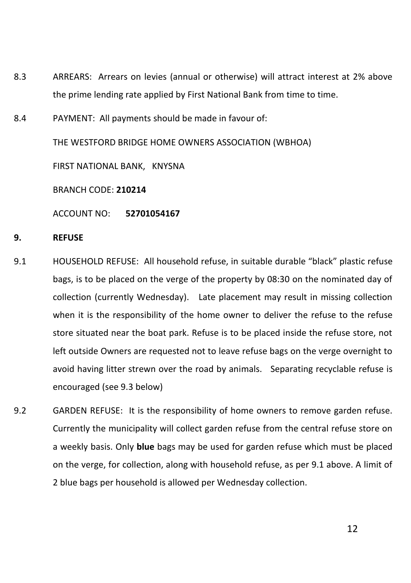- 8.3 ARREARS: Arrears on levies (annual or otherwise) will attract interest at 2% above the prime lending rate applied by First National Bank from time to time.
- 8.4 PAYMENT: All payments should be made in favour of:

THE WESTFORD BRIDGE HOME OWNERS ASSOCIATION (WBHOA)

FIRST NATIONAL BANK, KNYSNA

BRANCH CODE: **210214**

ACCOUNT NO: **52701054167**

#### **9. REFUSE**

- 9.1 HOUSEHOLD REFUSE: All household refuse, in suitable durable "black" plastic refuse bags, is to be placed on the verge of the property by 08:30 on the nominated day of collection (currently Wednesday). Late placement may result in missing collection when it is the responsibility of the home owner to deliver the refuse to the refuse store situated near the boat park. Refuse is to be placed inside the refuse store, not left outside Owners are requested not to leave refuse bags on the verge overnight to avoid having litter strewn over the road by animals. Separating recyclable refuse is encouraged (see 9.3 below)
- 9.2 GARDEN REFUSE: It is the responsibility of home owners to remove garden refuse. Currently the municipality will collect garden refuse from the central refuse store on a weekly basis. Only **blue** bags may be used for garden refuse which must be placed on the verge, for collection, along with household refuse, as per 9.1 above. A limit of 2 blue bags per household is allowed per Wednesday collection.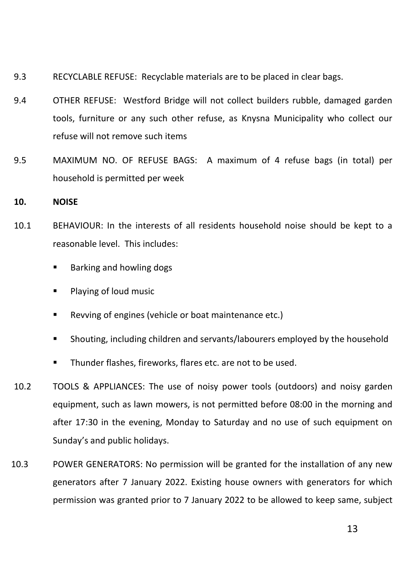- 9.3 RECYCLABLE REFUSE: Recyclable materials are to be placed in clear bags.
- 9.4 OTHER REFUSE: Westford Bridge will not collect builders rubble, damaged garden tools, furniture or any such other refuse, as Knysna Municipality who collect our refuse will not remove such items
- 9.5 MAXIMUM NO. OF REFUSE BAGS: A maximum of 4 refuse bags (in total) per household is permitted per week

#### **10. NOISE**

- 10.1 BEHAVIOUR: In the interests of all residents household noise should be kept to a reasonable level. This includes:
	- Barking and howling dogs
	- **Playing of loud music**
	- Revving of engines (vehicle or boat maintenance etc.)
	- Shouting, including children and servants/labourers employed by the household
	- Thunder flashes, fireworks, flares etc. are not to be used.
- 10.2 TOOLS & APPLIANCES: The use of noisy power tools (outdoors) and noisy garden equipment, such as lawn mowers, is not permitted before 08:00 in the morning and after 17:30 in the evening, Monday to Saturday and no use of such equipment on Sunday's and public holidays.
- 10.3 POWER GENERATORS: No permission will be granted for the installation of any new generators after 7 January 2022. Existing house owners with generators for which permission was granted prior to 7 January 2022 to be allowed to keep same, subject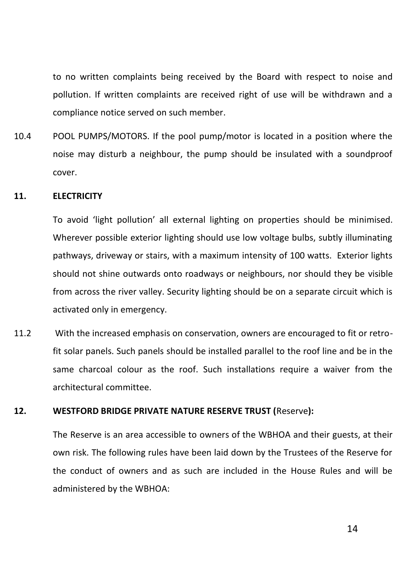to no written complaints being received by the Board with respect to noise and pollution. If written complaints are received right of use will be withdrawn and a compliance notice served on such member.

10.4 POOL PUMPS/MOTORS. If the pool pump/motor is located in a position where the noise may disturb a neighbour, the pump should be insulated with a soundproof cover.

#### **11. ELECTRICITY**

To avoid 'light pollution' all external lighting on properties should be minimised. Wherever possible exterior lighting should use low voltage bulbs, subtly illuminating pathways, driveway or stairs, with a maximum intensity of 100 watts. Exterior lights should not shine outwards onto roadways or neighbours, nor should they be visible from across the river valley. Security lighting should be on a separate circuit which is activated only in emergency.

11.2 With the increased emphasis on conservation, owners are encouraged to fit or retrofit solar panels. Such panels should be installed parallel to the roof line and be in the same charcoal colour as the roof. Such installations require a waiver from the architectural committee.

#### **12. WESTFORD BRIDGE PRIVATE NATURE RESERVE TRUST (**Reserve**):**

The Reserve is an area accessible to owners of the WBHOA and their guests, at their own risk. The following rules have been laid down by the Trustees of the Reserve for the conduct of owners and as such are included in the House Rules and will be administered by the WBHOA: